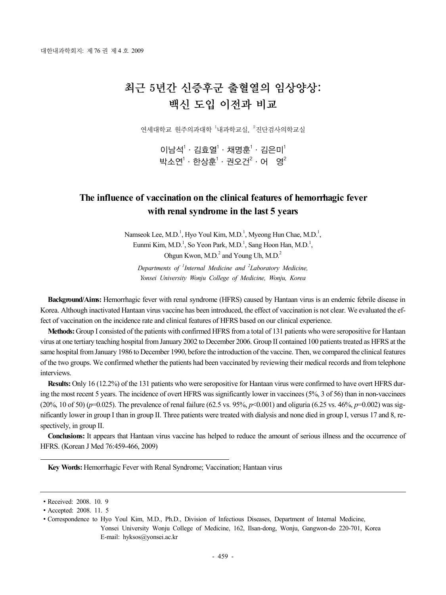# 최근 5년간 신증후군 출혈열의 임상양상: 백신 도입 이전과 비교

연세대학교 원주의과대학 <sup>1</sup>내과학교실, <sup>2</sup>진단검사의학교실

 $0$ 남석 $1 \cdot 2$ 효열 $1 \cdot 3$ 명훈 $1 \cdot 2$ 은미 $1$ 박소연 $^1\cdot$  한상훈 $^1\cdot$  권오건 $^2\cdot$  어  $\,$  영 $^2$ 

## **The influence of vaccination on the clinical features of hemorrhagic fever with renal syndrome in the last 5 years**

Namseok Lee, M.D.<sup>1</sup>, Hyo Youl Kim, M.D.<sup>1</sup>, Myeong Hun Chae, M.D.<sup>1</sup>, Eunmi Kim, M.D.<sup>1</sup>, So Yeon Park, M.D.<sup>1</sup>, Sang Hoon Han, M.D.<sup>1</sup>, Ohgun Kwon,  $M.D.<sup>2</sup>$  and Young Uh,  $M.D.<sup>2</sup>$ 

*Departments of <sup>1</sup> Internal Medicine and <sup>2</sup> Laboratory Medicine, Yonsei University Wonju College of Medicine, Wonju, Korea*

**Background/Aims:** Hemorrhagic fever with renal syndrome (HFRS) caused by Hantaan virus is an endemic febrile disease in Korea. Although inactivated Hantaan virus vaccine has been introduced, the effect of vaccination is not clear. We evaluated the effect of vaccination on the incidence rate and clinical features of HFRS based on our clinical experience.

**Methods:** Group I consisted of the patients with confirmed HFRS from a total of 131 patients who were seropositive for Hantaan virus at one tertiary teaching hospital from January 2002 to December 2006. Group II contained 100 patients treated as HFRS at the same hospital from January 1986 to December 1990, before the introduction of the vaccine. Then, we compared the clinical features of the two groups. We confirmed whether the patients had been vaccinated by reviewing their medical records and from telephone interviews.

**Results:** Only 16 (12.2%) of the 131 patients who were seropositive for Hantaan virus were confirmed to have overt HFRS during the most recent 5 years. The incidence of overt HFRS was significantly lower in vaccinees (5%, 3 of 56) than in non-vaccinees (20%, 10 of 50) ( $p=0.025$ ). The prevalence of renal failure (62.5 vs. 95%,  $p<0.001$ ) and oliguria (6.25 vs. 46%,  $p=0.002$ ) was significantly lower in group I than in group II. Three patients were treated with dialysis and none died in group I, versus 17 and 8, respectively, in group II.

**Conclusions:** It appears that Hantaan virus vaccine has helped to reduce the amount of serious illness and the occurrence of HFRS. (Korean J Med 76:459-466, 2009)

**Key Words:** Hemorrhagic Fever with Renal Syndrome; Vaccination; Hantaan virus

<sup>∙</sup>Received: 2008. 10. 9

<sup>∙</sup>Accepted: 2008. 11. 5

<sup>∙</sup>Correspondence to Hyo Youl Kim, M.D., Ph.D., Division of Infectious Diseases, Department of Internal Medicine, Yonsei University Wonju College of Medicine, 162, Ilsan-dong, Wonju, Gangwon-do 220-701, Korea E-mail: hyksos@yonsei.ac.kr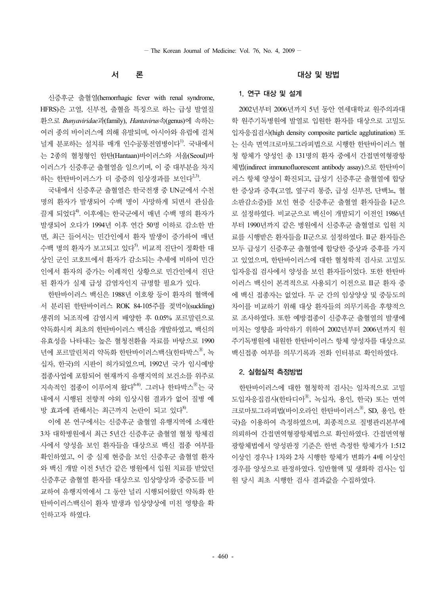#### 서 론

신증후군 출혈열(hemorrhagic fever with renal syndrome, HFRS)은 고열, 신부전, 출혈을 특징으로 하는 급성 발열질 환으로 *Bunyaviridae*과(family), *Hantavirus*속(genus)에 속하는 여러 종의 바이러스에 의해 유발되며, 아시아와 유럽에 걸쳐 널게 분포하는 설치류 매개 인수공통전염병이다<sup>1)</sup>. 국내에서 는 2종의 혈청형인 한탄(Hantaan)바이러스와 서울(Seoul)바 이러스가 신증후군 출혈열을 일으키며, 이 중 대부분을 차지 하는 한탄바이러스가 더 중증의 임상경과를 보인다<sup>2,3)</sup>.

국내에서 신증후군 출혈열은 한국전쟁 중 UN군에서 수천 명의 환자가 발생되어 수백 명이 사망하게 되면서 관심을 끌게 되었다<sup>4)</sup>. 이후에는 한국군에서 매년 수백 명의 환자가 발생되어 오다가 1994년 이후 연간 50명 이하로 감소한 반 면, 최근 들어서는 민간인에서 환자 발생이 증가하여 매년 수백 명의 환자가 보고되고 있다<sup>5)</sup>. 비교적 진단이 정확한 대 상인 군인 코호트에서 환자가 감소되는 추세에 비하여 민간 인에서 환자의 증가는 이례적인 상황으로 민간인에서 진단 된 환자가 실제 급성 감염자인지 규명할 필요가 있다.

한탄바이러스 백신은 1988년 이호왕 등이 환자의 혈액에 서 분리된 한탄바이러스 ROK 84-105주를 젖먹이(suckling) 생쥐의 뇌조직에 감염시켜 배양한 후 0.05% 포르말린으로 약독화시켜 최초의 한탄바이러스 백신을 개발하였고, 백신의 유효성을 나타내는 높은 혈청전환율 자료를 바탕으로 1990 년에 포르말린처리 약독화 한탄바이러스백신(한타박스<sup>®</sup>, 녹 십자, 한국)의 시판이 허가되었으며, 1992년 국가 임시예방 접종사업에 포함되어 현재까지 유행지역의 보건소를 위주로 지속적인 접종이 이루어져 왔다<sup>6-8)</sup>. 그러나 한타박스<sup>®</sup>는 국 내에서 시행된 전향적 야외 임상시험 결과가 없어 질병 예 방 효과에 관해서는 최근까지 논란이 되고 있다<sup>8)</sup>.

이에 본 연구에서는 신증후군 출혈열 유행지역에 소재한 3차 대학병원에서 최근 5년간 신증후군 출혈열 혈청 항체검 사에서 양성을 보인 환자들을 대상으로 백신 접종 여부를 확인하였고, 이 중 실제 현증을 보인 신증후군 출혈열 환자 와 백신 개발 이전 5년간 같은 병원에서 입원 치료를 받았던 신증후군 출혈열 환자를 대상으로 임상양상과 중증도를 비 교하여 유행지역에서 그 동안 널리 시행되어왔던 약독화 한 탄바이러스백신이 환자 발생과 임상양상에 미친 영향을 확 인하고자 하였다.

#### 대상 및 방법

#### 1. 연구 대상 및 설계

2002년부터 2006년까지 5년 동안 연세대학교 원주의과대 학 원주기독병원에 발열로 입원한 환자를 대상으로 고밀도 입자응집검사(high density composite particle agglutination) 또 는 신속 면역크로마토그라피법으로 시행한 한탄바이러스 혈 청 항체가 양성인 총 131명의 환자 중에서 간접면역형광항 체법(indirect immunofluorescent antibody assay)으로 한탄바이 러스 항체 양성이 확진되고, 급성기 신증후군 출혈열에 합당 한 증상과 증후(고열, 옆구리 통증, 급성 신부전, 단백뇨, 혈 소판감소증)를 보인 현증 신증후군 출혈열 환자들을 I군으 로 설정하였다. 비교군으로 백신이 개발되기 이전인 1986년 부터 1990년까지 같은 병원에서 신증후군 출혈열로 입원 치 료를 시행받은 환자들을 II군으로 설정하였다. II군 환자들은 모두 급성기 신증후군 출혈열에 합당한 증상과 증후를 가지 고 있었으며, 한탄바이러스에 대한 혈청학적 검사로 고밀도 입자응집 검사에서 양성을 보인 환자들이었다. 또한 한탄바 이러스 백신이 본격적으로 사용되기 이전으로 II군 환자 중 에 백신 접종자는 없었다. 두 군 간의 임상양상 및 중등도의 차이를 비교하기 위해 대상 환자들의 의무기록을 후향적으 로 조사하였다. 또한 예방접종이 신증후군 출혈열의 발생에 미치는 영향을 파악하기 위하여 2002년부터 2006년까지 원 주기독병원에 내원한 한탄바이러스 항체 양성자를 대상으로 백신접종 여부를 의무기록과 전화 인터뷰로 확인하였다.

#### 2. 실험실적 측정방법

한탄바이러스에 대한 혈청학적 검사는 일차적으로 고밀 도입자응집검사(한타디아Ⓡ, 녹십자, 용인, 한국) 또는 면역 크로마토그라피법(바이오라인 한탄바이러스 $^\text{\textregistered}$ , SD, 용인, 한 국)을 이용하여 측정하였으며, 최종적으로 질병관리본부에 의뢰하여 간접면역형광항체법으로 확인하였다. 간접면역형 광항체법에서 양성판정 기준은 한번 측정한 항체가가 1:512 이상인 경우나 1차와 2차 시행한 항체가 변화가 4배 이상인 경우를 양성으로 판정하였다. 일반혈액 및 생화학 검사는 입 원 당시 최초 시행한 검사 결과값을 수집하였다.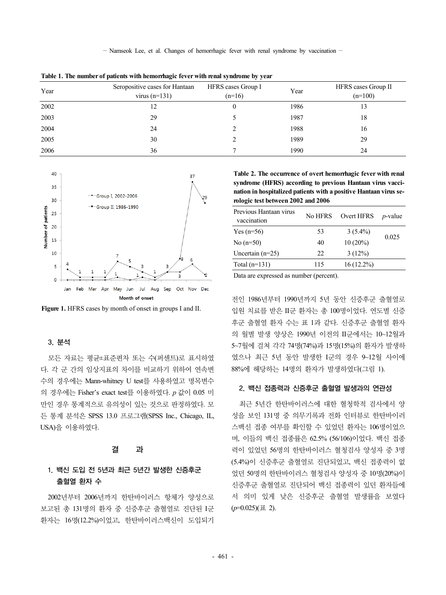$-$  Namseok Lee, et al. Changes of hemorrhagic fever with renal syndrome by vaccination  $-$ 

| Year | Seropositive cases for Hantaan<br>virus $(n=131)$ | HFRS cases Group I<br>$(n=16)$ | Year | HFRS cases Group II<br>$(n=100)$ |  |
|------|---------------------------------------------------|--------------------------------|------|----------------------------------|--|
| 2002 |                                                   |                                | 1986 | 13                               |  |
| 2003 | 29                                                |                                | 1987 | 18                               |  |
| 2004 | 24                                                |                                | 1988 | 16                               |  |
| 2005 | 30                                                |                                | 1989 | 29                               |  |
| 2006 | 36                                                |                                | 1990 | 24                               |  |

**Table 1. The number of patients with hemorrhagic fever with renal syndrome by year**



**Figure 1.** HFRS cases by month of onset in groups I and II.

#### 3. 분석

모든 자료는 평균±표준편차 또는 수(퍼센트)로 표시하였 다. 각 군 간의 임상지표의 차이를 비교하기 위하여 연속변 수의 경우에는 Mann-whitney U test를 사용하였고 명목변수 의 경우에는 Fisher's exact test를 이용하였다. *p* 값이 0.05 미 만인 경우 통계적으로 유의성이 있는 것으로 판정하였다. 모 든 통계 분석은 SPSS 13.0 프로그램(SPSS Inc., Chicago, IL, USA)을 이용하였다.

#### 결 과

### 1. 백신 도입 전 5년과 최근 5년간 발생한 신증후군 출혈열 환자 수

2002년부터 2006년까지 한탄바이러스 항체가 양성으로 보고된 총 131명의 환자 중 신증후군 출혈열로 진단된 I군 환자는 16명(12.2%)이었고, 한탄바이러스백신이 도입되기

**Table 2. The occurrence of overt hemorrhagic fever with renal syndrome (HFRS) according to previous Hantaan virus vaccination in hospitalized patients with a positive Hantaan virus serologic test between 2002 and 2006**

| Previous Hantaan virus<br>vaccination | No HFRS | Overt HFRS | $p$ -value |  |
|---------------------------------------|---------|------------|------------|--|
| Yes $(n=56)$                          | 53      | $3(5.4\%)$ |            |  |
| No $(n=50)$                           | 40      | $10(20\%)$ | 0.025      |  |
| Uncertain $(n=25)$                    | 22      | 3(12%)     |            |  |
| Total $(n=131)$                       | 115     | 16 (12.2%) |            |  |

Data are expressed as number (percent).

전인 1986년부터 1990년까지 5년 동안 신증후군 출혈열로 입원 치료를 받은 II군 환자는 총 100명이었다. 연도별 신증 후군 출혈열 환자 수는 표 1과 같다. 신증후군 출혈열 환자 의 월별 발생 양상은 1990년 이전의 II군에서는 10~12월과 5~7월에 걸쳐 각각 74명(74%)과 15명(15%)의 환자가 발생하 였으나 최근 5년 동안 발생한 I군의 경우 9~12월 사이에 88%에 해당하는 14명의 환자가 발생하였다(그림 1).

#### 2. 백신 접종력과 신증후군 출혈열 발생과의 연관성

최근 5년간 한탄바이러스에 대한 혈청학적 검사에서 양 성을 보인 131명 중 의무기록과 전화 인터뷰로 한탄바이러 스백신 접종 여부를 확인할 수 있었던 환자는 106명이었으 며, 이들의 백신 접종률은 62.5% (56/106)이었다. 백신 접종 력이 있었던 56명의 한탄바이러스 혈청검사 양성자 중 3명 (5.4%)이 신증후군 출혈열로 진단되었고, 백신 접종력이 없 었던 50명의 한탄바이러스 혈청검사 양성자 중 10명(20%)이 신증후군 출혈열로 진단되어 백신 접종력이 있던 환자들에 서 의미 있게 낮은 신증후군 출혈열 발생률을 보였다  $(p=0.025)(\pm 2)$ .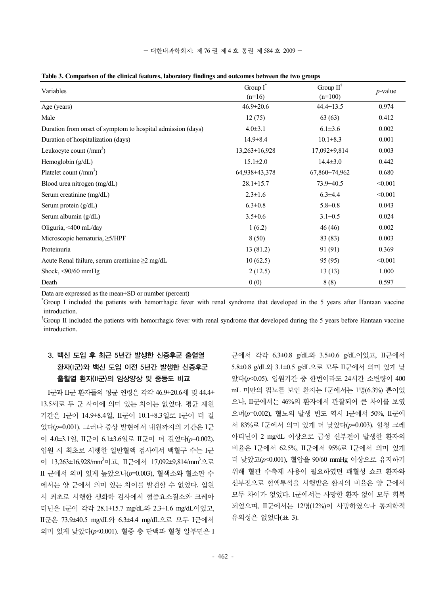| Table 3. Comparison of the clinical features, laboratory findings and outcomes between the two groups |  |  |  |  |  |
|-------------------------------------------------------------------------------------------------------|--|--|--|--|--|
|                                                                                                       |  |  |  |  |  |

| Variables                                                   | Group I*            | Group $II^{\dagger}$ |            |  |
|-------------------------------------------------------------|---------------------|----------------------|------------|--|
|                                                             | $(n=16)$            | $(n=100)$            | $p$ -value |  |
| Age (years)                                                 | $46.9 \pm 20.6$     | $44.4 \pm 13.5$      | 0.974      |  |
| Male                                                        | 12(75)              | 63(63)               | 0.412      |  |
| Duration from onset of symptom to hospital admission (days) | $4.0 \pm 3.1$       | $6.1 \pm 3.6$        | 0.002      |  |
| Duration of hospitalization (days)                          | $14.9 \pm 8.4$      | $10.1 \pm 8.3$       | 0.001      |  |
| Leukocyte count $(\text{/mm}^3)$                            | $13,263 \pm 16,928$ | 17,092±9,814         | 0.003      |  |
| Hemoglobin (g/dL)                                           | $15.1 \pm 2.0$      | $14.4 \pm 3.0$       | 0.442      |  |
| Platelet count $\left(\text{/mm}^3\right)$                  | 64,938±43,378       | 67,860±74,962        | 0.680      |  |
| Blood urea nitrogen (mg/dL)                                 | $28.1 \pm 15.7$     | 73.9±40.5            | < 0.001    |  |
| Serum creatinine (mg/dL)                                    | $2.3 \pm 1.6$       | $6.3 \pm 4.4$        | < 0.001    |  |
| Serum protein $(g/dL)$                                      | $6.3 \pm 0.8$       | $5.8 \pm 0.8$        | 0.043      |  |
| Serum albumin (g/dL)                                        | $3.5 \pm 0.6$       | $3.1 \pm 0.5$        | 0.024      |  |
| Oliguria, <400 mL/day                                       | 1(6.2)              | 46(46)               | 0.002      |  |
| Microscopic hematuria, $\geq$ 5/HPF                         | 8(50)               | 83 (83)              | 0.003      |  |
| Proteinuria                                                 | 13(81.2)            | 91 (91)              | 0.369      |  |
| Acute Renal failure, serum creatinine $\geq 2$ mg/dL        | 10(62.5)            | 95 (95)              | < 0.001    |  |
| Shock, <90/60 mmHg                                          | 2(12.5)             | 13(13)               | 1.000      |  |
| Death                                                       | 0(0)                | 8(8)                 | 0.597      |  |

Data are expressed as the mean±SD or number (percent)

\* Group I included the patients with hemorrhagic fever with renal syndrome that developed in the 5 years after Hantaan vaccine introduction.

<sup>†</sup>Group II included the patients with hemorrhagic fever with renal syndrome that developed during the 5 years before Hantaan vaccine introduction.

## 3. 백신 도입 후 최근 5년간 발생한 신증후군 출혈열 환자(I군)와 백신 도입 이전 5년간 발생한 신증후군 출혈열 환자(II군)의 임상양상 및 중등도 비교

I군과 II군 환자들의 평균 연령은 각각 46.9±20.6세 및 44.4± 13.5세로 두 군 사이에 의미 있는 차이는 없었다. 평균 재원 기간은 I군이 14.9±8.4일, II군이 10.1±8.3일로 I군이 더 길 었다(*p*=0.001). 그러나 증상 발현에서 내원까지의 기간은 I군 이 4.0±3.1일, II군이 6.1±3.6일로 II군이 더 길었다(*p*=0.002). 입원 시 최초로 시행한 일반혈액 검사에서 백혈구 수는 I군 이 13,263±16,928/mm<sup>3</sup>이고, II군에서 17,092±9,814/mm<sup>3</sup>으로 II 군에서 의미 있게 높았으나(*p*=0.003), 혈색소와 혈소판 수 에서는 양 군에서 의미 있는 차이를 발견할 수 없었다. 입원 시 최초로 시행한 생화학 검사에서 혈중요소질소와 크레아 티닌은 I군이 각각 28.1±15.7 mg/dL와 2.3±1.6 mg/dL이었고, II군은 73.9±40.5 mg/dL와 6.3±4.4 mg/dL으로 모두 I군에서 의미 있게 낮았다(*p*<0.001). 혈중 총 단백과 혈청 알부민은 I

군에서 각각 6.3±0.8 g/dL와 3.5±0.6 g/dL이었고, II군에서 5.8±0.8 g/dL와 3.1±0.5 g/dL으로 모두 II군에서 의미 있게 낮 았다(*p*<0.05). 입원기간 중 한번이라도 24시간 소변량이 400 mL 미만의 핍뇨를 보인 환자는 I군에서는 1명(6.3%) 뿐이었 으나, II군에서는 46%의 환자에서 관찰되어 큰 차이를 보였 으며(*p*=0.002), 혈뇨의 발생 빈도 역시 I군에서 50%, II군에 서 83%로 I군에서 의미 있게 더 낮았다(*p*=0.003). 혈청 크레 아티닌이 2 mg/dL 이상으로 급성 신부전이 발생한 환자의 비율은 I군에서 62.5%, II군에서 95%로 I군에서 의미 있게 더 낮았고(*p*<0.001), 혈압을 90/60 mmHg 이상으로 유지하기 위해 혈관 수축제 사용이 필요하였던 패혈성 쇼크 환자와 신부전으로 혈액투석을 시행받은 환자의 비율은 양 군에서 모두 차이가 없었다. I군에서는 사망한 환자 없이 모두 회복 되었으며, II군에서는 12명(12%)이 사망하였으나 통계학적 유의성은 없었다(표 3).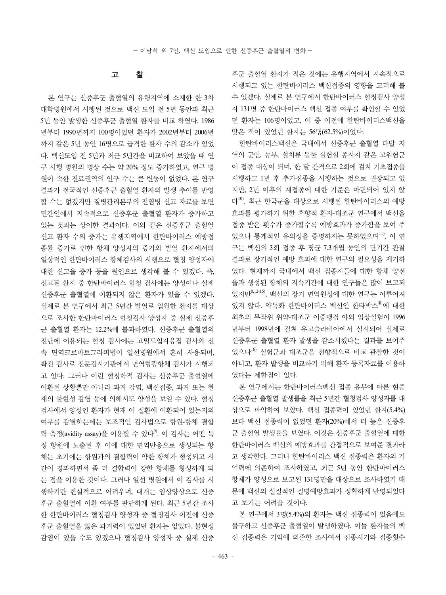#### 고 찰

본 연구는 신증후군 출혈열의 유행지역에 소재한 한 3차 대학병원에서 시행된 것으로 백신 도입 전 5년 동안과 최근 5년 동안 발생한 신증후군 출혈열 환자를 비교 하였다. 1986 년부터 1990년까지 100명이었던 환자가 2002년부터 2006년 까지 같은 5년 동안 16명으로 급격한 환자 수의 감소가 있었 다. 백신도입 전 5년과 최근 5년간을 비교하여 보았을 때 연 구 시행 병원의 병상 수는 약 20% 정도 증가하였고, 연구 병 원이 속한 진료권역의 인구 수는 큰 변동이 없었다. 본 연구 결과가 전국적인 신증후군 출혈열 환자의 발생 추이를 반영 할 수는 없겠지만 질병관리본부의 전염병 신고 자료를 보면 민간인에서 지속적으로 신증후군 출혈열 환자가 증가하고 있는 것과는 상이한 결과이다. 이와 같은 신증후군 출혈열 신고 환자 수의 증가는 유행지역에서 한탄바이러스 예방접 종률 증가로 인한 항체 양성자의 증가와 발열 환자에서의 일상적인 한탄바이러스 항체검사의 시행으로 혈청 양성자에 대한 신고율 증가 등을 원인으로 생각해 볼 수 있겠다. 즉, 신고된 환자 중 한탄바이러스 혈청 검사에는 양성이나 실제 신증후군 출혈열에 이환되지 않은 환자가 있을 수 있겠다. 실제로 본 연구에서 최근 5년간 발열로 입원한 환자를 대상 으로 조사한 한탄바이러스 혈청검사 양성자 중 실제 신증후 군 출혈열 환자는 12.2%에 불과하였다. 신증후군 출혈열의 진단에 이용되는 혈청 검사에는 고밀도입자응집 검사와 신 속 면역크로마토그라피법이 일선병원에서 흔히 사용되며, 확진 검사로 전문검사기관에서 면역형광항체 검사가 시행되 고 있다. 그러나 이런 혈청학적 검사는 신증후군 출혈열에 이환된 상황뿐만 아니라 과거 감염, 백신접종, 과거 또는 현 재의 불현성 감염 등에 의해서도 양성을 보일 수 있다. 혈청 검사에서 양성인 환자가 현재 이 질환에 이환되어 있는지의 여부를 감별하는데는 보조적인 검사법으로 항원-항체 결합 력 측정(avidity assay)을 이용할 수 있다<sup>9)</sup>. 이 검사는 어떤 특 정 항원에 노출된 후 이에 대한 면역반응으로 생성되는 항 체는 초기에는 항원과의 결합력이 약한 항체가 형성되고 시 간이 경과하면서 좀 더 결합력이 강한 항체를 형성하게 되 는 점을 이용한 것이다. 그러나 일선 병원에서 이 검사를 시 행하기란 현실적으로 어려우며, 대개는 임상양상으로 신증 후군 출혈열에 이환 여부를 판단하게 된다. 최근 5년간 조사 한 한탄바이러스 혈청검사 양성자 중 혈청검사 이전에 신증 후군 출혈열을 앓은 과거력이 있었던 환자는 없었다. 불현성 감염이 있을 수도 있겠으나 혈청검사 양성자 중 실제 신증 후군 출혈열 환자가 적은 것에는 유행지역에서 지속적으로 시행되고 있는 한탄바이러스 백신접종의 영향을 고려해 볼 수 있겠다. 실제로 본 연구에서 한탄바이러스 혈청검사 양성 자 131명 중 한탄바이러스 백신 접종 여부를 확인할 수 있었 던 환자는 106명이었고, 이 중 이전에 한탄바이러스백신을 맞은 적이 있었던 환자는 56명(62.5%)이었다.

한탄바이러스백신은 국내에서 신증후군 출혈열 다발 지 역의 군인, 농부, 설치류 동물 실험실 종사자 같은 고위험군 이 접종 대상이 되며, 한 달 간격으로 2회에 걸쳐 기초접종을 시행하고 1년 후 추가접종을 시행하는 것으로 권장되고 있 지만, 2년 이후의 재접종에 대한 기준은 마련되어 있지 않 다 $^{10}$ . 최근 한국구을 대상으로 시행된 한탄바이러스의 예방 효과를 평가하기 위한 후향적 환자-대조군 연구에서 백신을 접종 받은 횟수가 증가할수록 예방효과가 증가함을 보여 주 었으나 통계적인 유의성을 증명하지는 못하였으며11), 이 연 구는 백신의 3회 접종 후 평균 7.3개월 동안의 단기간 관찰 결과로 장기적인 예방 효과에 대한 연구의 필요성을 제기하 였다. 현재까지 국내에서 백신 접종자들에 대한 항체 양전 율과 생성된 항체의 지속기간에 대한 연구들은 많이 보고되 었지만8,12-15), 백신의 장기 면역원성에 대한 연구는 이루어져 있지 않다. 약독화 한탄바이러스 백신인 한타박스<sup>®</sup>에 대한 최초의 무작위 위약-대조군 이중맹검 야외 임상실험이 1996 년부터 1998년에 걸쳐 유고슬라비아에서 실시되어 실제로 신증후군 출혈열 환자 발생을 감소시켰다는 결과를 보여주 었으나<sup>16)</sup> 실험군과 대조군을 전향적으로 비교 관찰한 것이 아니고, 환자 발생을 비교하기 위해 환자 등록자료를 이용하 였다는 제한점이 있다.

본 연구에서는 한탄바이러스백신 접종 유무에 따른 현증 신증후군 출혈열 발생률을 최근 5년간 혈청검사 양성자를 대 상으로 파악하여 보았다. 백신 접종력이 있었던 환자(5.4%) 보다 백신 접종력이 없었던 환자(20%)에서 더 높은 신증후 군 출혈열 발생률을 보였다. 이것은 신증후군 출혈열에 대한 한탄바이러스 백신의 예방효과를 간접적으로 보여준 결과라 고 생각한다. 그러나 한탄바이러스 백신 접종력은 환자의 기 억력에 의존하여 조사하였고, 최근 5년 동안 한탄바이러스 항체가 양성으로 보고된 131명만을 대상으로 조사하였기 때 문에 백신의 실질적인 질병예방효과가 정확하게 반영되었다 고 보기는 어려울 것이다.

본 연구에서 3명(5.4%)의 환자는 백신 접종력이 있음에도 불구하고 신증후군 출혈열이 발생하였다. 이들 환자들의 백 신 접종력은 기억에 의존한 조사여서 접종시기와 접종횟수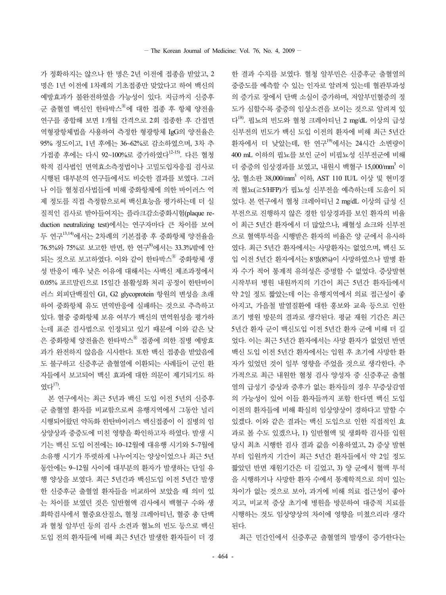가 정확하지는 않으나 한 명은 2년 이전에 접종을 받았고, 2 명은 1년 이전에 1차례의 기초접종만 맞았다고 하여 백신의 예방효과가 불완전하였을 가능성이 있다. 지금까지 신증후 군 출혈열 백신인 한타박스<sup>®</sup>에 대한 접종 후 항체 양전율 연구를 종합해 보면 1개월 간격으로 2회 접종한 후 간접면 역형광항체법을 사용하여 측정한 형광항체 IgG의 양전율은 95% 정도이고, 1년 후에는 36~62%로 감소하였으며, 3차 추 가접종 후에는 다시 92~100%로 증가하였다12-15). 다른 혈청 학적 검사법인 면역효소측정법이나 고밀도입자응집 검사로 시행된 대부분의 연구들에서도 비슷한 결과를 보였다. 그러 나 이들 혈청검사법들에 비해 중화항체에 의한 바이러스 억 제 정도를 직접 측정함으로써 백신효능을 평가하는데 더 실 질적인 검사로 받아들여지는 플라크감소중화시험(plaque reduction neutralizing test)에서는 연구자마다 큰 차이를 보여 두 연구13,14)에서는 2차례의 기본접종 후 중화항체 양전율을 76.5%와 75%로 보고한 반면, 한 연구8)에서는 33.3%밖에 안 되는 것으로 보고하였다. 이와 같이 한타박스<sup>®</sup> 중화항체 생 성 반응이 매우 낮은 이유에 대해서는 사백신 제조과정에서 0.05% 포르말린으로 15일간 불활성화 처리 공정이 한탄바이 러스 외피단백질인 G1, G2 glycoprotein 항원의 변성을 초래 하여 중화항체 유도 면역반응에 실패하는 것으로 추측하고 있다. 혈중 중화항체 보유 여부가 백신의 면역원성을 평가하 는데 표준 검사법으로 인정되고 있기 때문에 이와 같은 낮 은 중화항체 양전율은 한타박스<sup>®</sup> 접종에 의한 질병 예방효 과가 완전하지 않음을 시사한다. 또한 백신 접종을 받았음에 도 불구하고 신증후군 출혈열에 이환되는 사례들이 군인 환 자들에서 보고되어 백신 효과에 대한 의문이 제기되기도 하 였다17).

본 연구에서는 최근 5년과 백신 도입 이전 5년의 신증후 군 출혈열 환자를 비교함으로써 유행지역에서 그동안 널리 시행되어왔던 약독화 한탄바이러스 백신접종이 이 질병의 임 상양상과 중증도에 미친 영향을 확인하고자 하였다. 발생 시 기는 백신 도입 이전에는 10~12월에 대유행 시기와 5~7월에 소유행 시기가 뚜렷하게 나누어지는 양상이었으나 최근 5년 동안에는 9~12월 사이에 대부분의 환자가 발생하는 단일 유 행 양상을 보였다. 최근 5년간과 백신도입 이전 5년간 발생 한 신증후군 출혈열 환자들을 비교하여 보았을 때 의미 있 는 차이를 보였던 것은 일반혈액 검사에서 백혈구 수와 생 화학검사에서 혈중요산질소, 혈청 크레아티닌, 혈중 총 단백 과 혈청 알부민 등의 검사 소견과 혈뇨의 빈도 등으로 백신 도입 전의 환자들에 비해 최근 5년간 발생한 환자들이 더 경

다18). 핍뇨의 빈도와 혈청 크레아티닌 2 mg/dL 이상의 급성 신부전의 빈도가 백신 도입 이전의 환자에 비해 최근 5년간 환자에서 더 낮았는데, 한 연구<sup>19)</sup>에서는 24시간 소변량이 400 mL 이하의 핍뇨를 보인 군이 비핍뇨성 신부전군에 비해 더 중증의 임상경과를 보였고, 내워시 백혈구 15,000/mm3 이 상, 혈소판 38,000/mm3 이하, AST 110 IU/L 이상 및 현미경 적 혈뇨(≧5/HFP)가 핍뇨성 신부전을 예측하는데 도움이 되 었다. 본 연구에서 혈청 크레아티닌 2 mg/dL 이상의 급성 신 부전으로 진행하지 않은 경한 임상경과를 보인 환자의 비율 이 최근 5년간 환자에서 더 많았으나, 패혈성 쇼크와 신부전 으로 혈액투석을 시행받은 환자의 비율은 양 군에서 유사하 였다. 최근 5년간 환자에서는 사망환자는 없었으며, 백신 도 입 이전 5년간 환자에서는 8명(8%)이 사망하였으나 발병 환 자 수가 적어 통계적 유의성은 증명할 수 없었다. 증상발현 시작부터 병원 내원까지의 기간이 최근 5년간 환자들에서 약 2일 정도 짧았는데 이는 유행지역에서 의료 접근성이 좋 아지고, 가을철 발열질환에 대한 홍보와 교육 등으로 인한 조기 병원 방문의 결과로 생각된다. 평균 재원 기간은 최근 5년간 환자 군이 백신도입 이전 5년간 환자 군에 비해 더 길 었다. 이는 최근 5년간 환자에서는 사망 환자가 없었던 반면 백신 도입 이전 5년간 환자에서는 입원 후 초기에 사망한 환 자가 있었던 것이 일부 영향을 주었을 것으로 생각한다. 추 가적으로 최근 내원한 혈청 검사 양성자 중 신증후군 출혈 열의 급성기 증상과 증후가 없는 환자들의 경우 무증상감염 의 가능성이 있어 이들 환자들까지 포함 한다면 백신 도입 이전의 환자들에 비해 확실히 임상양상이 경하다고 말할 수 있겠다. 이와 같은 결과는 백신 도입으로 인한 직접적인 효 과로 볼 수도 있겠으나, 1) 일반혈액 및 생화학 검사를 입원 당시 최초 시행한 검사 결과 값을 이용하였고, 2) 증상 발현 부터 입원까지 기간이 최근 5년간 환자들에서 약 2일 정도 짧았던 반면 재원기간은 더 길었고, 3) 양 군에서 혈액 투석 을 시행하거나 사망한 환자 수에서 통계학적으로 의미 있는 차이가 없는 것으로 보아, 과거에 비해 의료 접근성이 좋아 지고, 비교적 증상 초기에 병원을 방문하여 대증적 치료를 시행하는 것도 임상양상의 차이에 영향을 미쳤으리라 생각

한 결과 수치를 보였다. 혈청 알부민은 신증후군 출혈열의 중증도를 예측할 수 있는 인자로 알려져 있는데 혈관투과성 의 증가로 장에서 단백 소실이 증가하며, 저알부민혈증의 정 도가 심할수록 중증의 임상소견을 보이는 것으로 알려져 있

최근 민간인에서 신증후군 출혈열의 발생이 증가한다는

된다.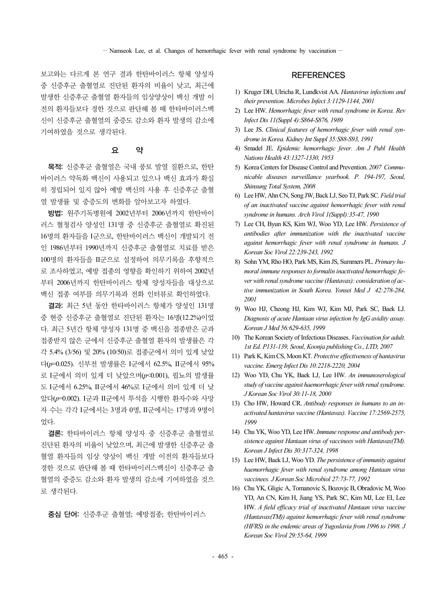보고와는 다르게 본 연구 결과 한탄바이러스 항체 양성자 중 신증후군 출혈열로 진단된 환자의 비율이 낮고, 최근에 발생한 신증후군 출혈열 환자들의 임상양상이 백신 개발 이 전의 환자들보다 경한 것으로 판단해 볼 때 한타바이러스백 신이 신증후군 출혈열의 중증도 감소와 환자 발생의 감소에 기여하였을 것으로 생각된다.

#### 요 약

목적: 신증후군 출혈열은 국내 풍토 발열 질환으로, 한탄 바이러스 약독화 백신이 사용되고 있으나 백신 효과가 확실 히 정립되어 있지 않아 예방 백신의 사용 후 신증후군 출혈 열 발생률 및 중증도의 변화를 알아보고자 하였다.

방법: 원주기독병원에 2002년부터 2006년까지 한탄바이 러스 혈청검사 양성인 131명 중 신증후군 출혈열로 확진된 16명의 환자들을 I군으로, 한탄바이러스 백신이 개발되기 전 인 1986년부터 1990년까지 신증후군 출혈열로 치료를 받은 100명의 환자들을 II군으로 설정하여 의무기록을 후향적으 로 조사하였고, 예방 접종의 영향을 확인하기 위하여 2002년 부터 2006년까지 한탄바이러스 항체 양성자들을 대상으로 백신 접종 여부를 의무기록과 전화 인터뷰로 확인하였다.

결과: 최근 5년 동안 한타바이러스 항체가 양성인 131명 중 현증 신증후군 출혈열로 진단된 환자는 16명(12.2%)이었 다. 최근 5년간 항체 양성자 131명 중 백신을 접종받은 군과 접종받지 않은 군에서 신증후군 출혈열 환자의 발생률은 각 각 5.4% (3/56) 및 20% (10/50)로 접종군에서 의미 있게 낮았 다(*p*=0.025). 신부전 발생률은 I군에서 62.5%, II군에서 95% 로 I군에서 의미 있게 더 낮았으며(*p*<0.001), 핍뇨의 발생률 도 I군에서 6.25%, II군에서 46%로 I군에서 의미 있게 더 낮 았다(*p*=0.002). I군과 II군에서 투석을 시행한 환자수와 사망 자 수는 각각 I군에서는 3명과 0명, II군에서는 17명과 9명이 었다.

결론: 한타바이러스 항체 양성자 중 신증후군 출혈열로 진단된 환자의 비율이 낮았으며, 최근에 발생한 신증후군 출 혈열 환자들의 임상 양상이 백신 개발 이전의 환자들보다 경한 것으로 판단해 볼 때 한타바이러스백신이 신증후군 출 혈열의 중증도 감소와 환자 발생의 감소에 기여하였을 것으 로 생각된다.

중심 단어: 신증후군 출혈열; 예방접종; 한탄바이러스

#### **REFERENCES**

- 1) Kruger DH, Ulricha R, Lundkvist AA. *Hantavirus infections and their prevention. Microbes Infect 3:1129-1144, 2001*
- 2) Lee HW. *Hemorrhagic fever with renal syndrome in Korea. Rev Infect Dis 11(Suppl 4):S864-S876, 1989*
- 3) Lee JS. *Clinical features of hemorrhagic fever with renal syndrome in Korea. Kidney Int Suppl 35:S88-S93, 1991*
- 4) Smadel JE. *Epidemic hemorrhagic fever. Am J Publ Health Nations Health 43:1327-1330, 1953*
- 5) Korea Centers for Disease Control and Prevention. *2007 Communicable diseases surveillance yearbook. P. 194-197, Seoul, Shinsung Total System, 2008*
- 6) Lee HW, Ahn CN, Song JW, Back LJ, Seo TJ, Park SC. *Field trial of an inactivated vaccine against hemorrhagic fever with renal syndrome in humans. Arch Virol 1(Suppl):35-47, 1990*
- 7) Lee CH, Byun KS, Kim WJ, Woo YD, Lee HW. *Persistence of antibodies after immunization with the inactivated vaccine against hemorrhagic fever with renal syndrome in humans. J Korean Soc Virol 22:239-243, 1992*
- 8) Sohn YM, Rho HO, Park MS, Kim JS, Summers PL. *Primary humoral immune responses to formalin inactivated hemorrhagic fever with renal syndrome vaccine (Hantavax): consideration of active immunization in South Korea. Yonsei Med J 42:278-284, 2001*
- 9) Woo HJ, Cheong HJ, Kim WJ, Kim MJ, Park SC, Baek LJ. *Diagnosis of acute Hantaan virus infection by IgG avidity assay. Korean J Med 56:629-635, 1999*
- 10) The Korean Society of Infectious Diseases. *Vaccination for adult. 1st Ed. P131-139, Seoul, Koonja publishing Co., LTD, 2007*
- 11) Park K, Kim CS, Moon KT. *Protective effectiveness of hantavirus vaccine. Emerg Infect Dis 10:2218-2220, 2004*
- 12) Woo YD, Chu YK, Baek LJ, Lee HW. *An immunoserological study of vaccine against haemorrhagic fever with renal syndrome. J Korean Soc Virol 30:11-18, 2000*
- 13) Cho HW, Howard CR. *Antibody responses in humans to an inactivated hantavirus vaccine (Hantavax). Vaccine 17:2569-2575, 1999*
- 14) Chu YK, Woo YD, Lee HW. *Immune response and antibody persistence against Hantaan virus of vaccinees with Hantavax(TM). Korean J Infect Dis 30:317-324, 1998*
- 15) Lee HW, Baek LJ, Woo YD. *The persistence of immunity against haemorrhagic fever with renal syndrome among Hantaan virus vaccinees. J Korean Soc Microbiol 27:73-77, 1992*
- 16) Chu YK, Gligic A, Tomanovic S, Bozovjc B, Obradovic M, Woo YD, An CN, Kim H, Jiang YS, Park SC, Kim MJ, Lee EI, Lee HW. *A field efficacy trial of inactivated Hantaan virus vaccine (Hantavax(TM)) against hemorrhagic fever with renal syndrome (HFRS) in the endemic areas of Yugoslavia from 1996 to 1998. J Korean Soc Virol 29:55-64, 1999*